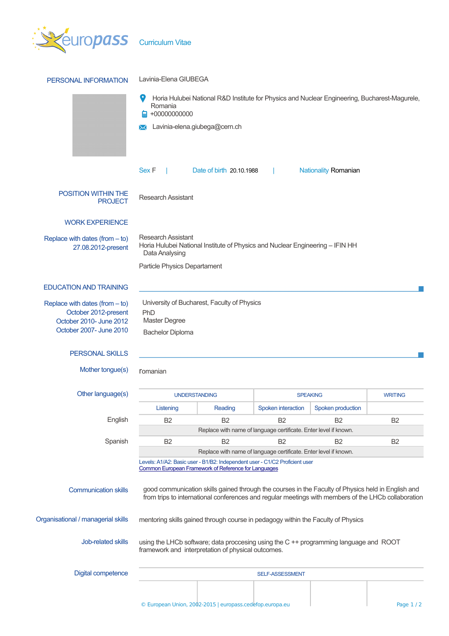

| PERSONAL INFORMATION                                                                                           | Lavinia-Elena GIUBEGA                                                                                                                                                                                          |                                                                  |                    |                             |                |  |  |  |
|----------------------------------------------------------------------------------------------------------------|----------------------------------------------------------------------------------------------------------------------------------------------------------------------------------------------------------------|------------------------------------------------------------------|--------------------|-----------------------------|----------------|--|--|--|
|                                                                                                                | Horia Hulubei National R&D Institute for Physics and Nuclear Engineering, Bucharest-Magurele,<br>Romania<br>$+00000000000$                                                                                     |                                                                  |                    |                             |                |  |  |  |
|                                                                                                                | Lavinia-elena.giubega@cern.ch                                                                                                                                                                                  |                                                                  |                    |                             |                |  |  |  |
|                                                                                                                | Sex F                                                                                                                                                                                                          | Date of birth 20.10.1988                                         |                    | <b>Nationality Romanian</b> |                |  |  |  |
| <b>POSITION WITHIN THE</b><br><b>PROJECT</b>                                                                   | <b>Research Assistant</b>                                                                                                                                                                                      |                                                                  |                    |                             |                |  |  |  |
| <b>WORK EXPERIENCE</b>                                                                                         |                                                                                                                                                                                                                |                                                                  |                    |                             |                |  |  |  |
| Replace with dates (from $-$ to)<br>27.08.2012-present                                                         | <b>Research Assistant</b><br>Horia Hulubei National Institute of Physics and Nuclear Engineering - IFIN HH<br>Data Analysing                                                                                   |                                                                  |                    |                             |                |  |  |  |
|                                                                                                                | Particle Physics Departament                                                                                                                                                                                   |                                                                  |                    |                             |                |  |  |  |
| <b>EDUCATION AND TRAINING</b>                                                                                  |                                                                                                                                                                                                                |                                                                  |                    |                             |                |  |  |  |
| Replace with dates (from $-$ to)<br>October 2012-present<br>October 2010- June 2012<br>October 2007- June 2010 | University of Bucharest, Faculty of Physics<br>PhD<br>Master Degree<br><b>Bachelor Diploma</b>                                                                                                                 |                                                                  |                    |                             |                |  |  |  |
| <b>PERSONAL SKILLS</b>                                                                                         |                                                                                                                                                                                                                |                                                                  |                    |                             |                |  |  |  |
| Mother tongue(s)                                                                                               | <b>r</b> omanian                                                                                                                                                                                               |                                                                  |                    |                             |                |  |  |  |
| Other language(s)                                                                                              | <b>UNDERSTANDING</b>                                                                                                                                                                                           |                                                                  | <b>SPEAKING</b>    |                             | <b>WRITING</b> |  |  |  |
|                                                                                                                | Listening                                                                                                                                                                                                      | Reading                                                          | Spoken interaction | Spoken production           |                |  |  |  |
| English                                                                                                        | B <sub>2</sub>                                                                                                                                                                                                 | <b>B2</b>                                                        | <b>B2</b>          | B <sub>2</sub>              | B <sub>2</sub> |  |  |  |
|                                                                                                                |                                                                                                                                                                                                                | Replace with name of language certificate. Enter level if known. |                    |                             |                |  |  |  |
| Spanish                                                                                                        | B <sub>2</sub>                                                                                                                                                                                                 | B <sub>2</sub>                                                   | B <sub>2</sub>     | B <sub>2</sub>              | B <sub>2</sub> |  |  |  |
|                                                                                                                | Replace with name of language certificate. Enter level if known.<br>Levels: A1/A2: Basic user - B1/B2: Independent user - C1/C2 Proficient user<br><b>Common European Framework of Reference for Languages</b> |                                                                  |                    |                             |                |  |  |  |
| <b>Communication skills</b>                                                                                    | good communication skills gained through the courses in the Faculty of Physics held in English and<br>from trips to international conferences and regular meetings with members of the LHCb collaboration      |                                                                  |                    |                             |                |  |  |  |
| Organisational / managerial skills                                                                             | mentoring skills gained through course in pedagogy within the Faculty of Physics                                                                                                                               |                                                                  |                    |                             |                |  |  |  |
| Job-related skills                                                                                             | using the LHCb software; data proccesing using the C ++ programming language and ROOT<br>framework and interpretation of physical outcomes.                                                                    |                                                                  |                    |                             |                |  |  |  |
| <b>Digital competence</b>                                                                                      | <b>SELF-ASSESSMENT</b>                                                                                                                                                                                         |                                                                  |                    |                             |                |  |  |  |
|                                                                                                                |                                                                                                                                                                                                                |                                                                  |                    |                             |                |  |  |  |
|                                                                                                                | © European Union, 2002-2015   europass.cedefop.europa.eu                                                                                                                                                       |                                                                  |                    |                             | Page $1/2$     |  |  |  |